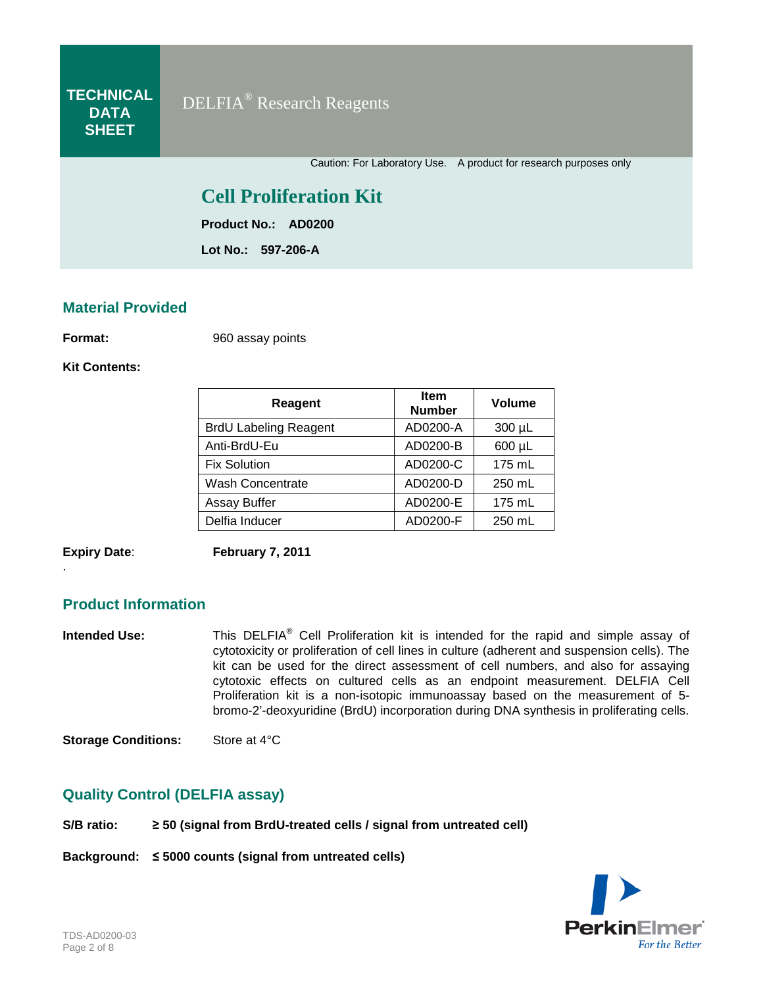Caution: For Laboratory Use. A product for research purposes only

# **Cell Proliferation Kit**

**Product No.: AD0200**

**Lot No.: 597-206-A**

#### **Material Provided**

**Format:** 960 assay points

**Kit Contents:**

| Reagent                      | <b>Item</b><br><b>Number</b> | Volume      |
|------------------------------|------------------------------|-------------|
| <b>BrdU Labeling Reagent</b> | AD0200-A                     | $300 \mu L$ |
| Anti-BrdU-Eu                 | AD0200-B                     | 600 µL      |
| <b>Fix Solution</b>          | AD0200-C                     | $175$ mL    |
| <b>Wash Concentrate</b>      | AD0200-D                     | 250 mL      |
| Assay Buffer                 | AD0200-E                     | $175$ mL    |
| Delfia Inducer               | AD0200-F                     | 250 mL      |

.

**Expiry Date**: **February 7, 2011**

### **Product Information**

**Intended Use:** This DELFIA<sup>®</sup> Cell Proliferation kit is intended for the rapid and simple assay of cytotoxicity or proliferation of cell lines in culture (adherent and suspension cells). The kit can be used for the direct assessment of cell numbers, and also for assaying cytotoxic effects on cultured cells as an endpoint measurement. DELFIA Cell Proliferation kit is a non-isotopic immunoassay based on the measurement of 5 bromo-2'-deoxyuridine (BrdU) incorporation during DNA synthesis in proliferating cells.

**Storage Conditions:** Store at 4°C

#### **Quality Control (DELFIA assay)**

**S/B ratio: ≥ 50 (signal from BrdU-treated cells / signal from untreated cell)**

**Background: ≤ 5000 counts (signal from untreated cells)**

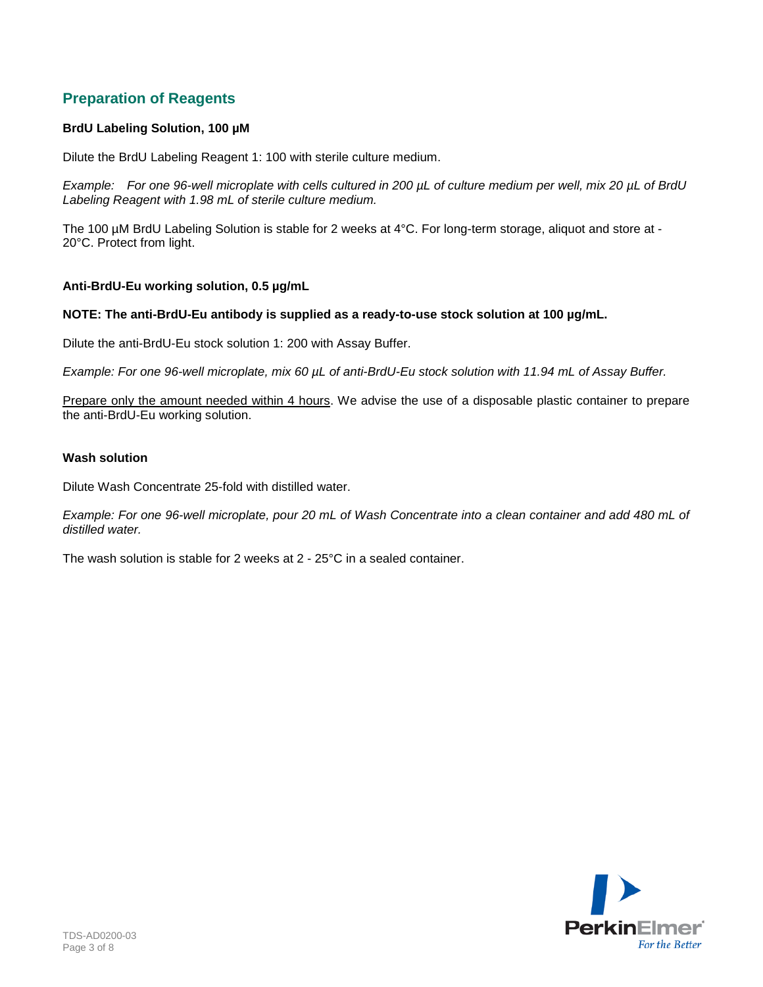## **Preparation of Reagents**

#### **BrdU Labeling Solution, 100 µM**

Dilute the BrdU Labeling Reagent 1: 100 with sterile culture medium.

*Example: For one 96-well microplate with cells cultured in 200 µL of culture medium per well, mix 20 µL of BrdU Labeling Reagent with 1.98 mL of sterile culture medium.* 

The 100 µM BrdU Labeling Solution is stable for 2 weeks at 4°C. For long-term storage, aliquot and store at -20°C. Protect from light.

#### **Anti-BrdU-Eu working solution, 0.5 µg/mL**

#### **NOTE: The anti-BrdU-Eu antibody is supplied as a ready-to-use stock solution at 100 µg/mL.**

Dilute the anti-BrdU-Eu stock solution 1: 200 with Assay Buffer.

*Example: For one 96-well microplate, mix 60 µL of anti-BrdU-Eu stock solution with 11.94 mL of Assay Buffer.* 

Prepare only the amount needed within 4 hours. We advise the use of a disposable plastic container to prepare the anti-BrdU-Eu working solution.

#### **Wash solution**

Dilute Wash Concentrate 25-fold with distilled water.

*Example: For one 96-well microplate, pour 20 mL of Wash Concentrate into a clean container and add 480 mL of distilled water.*

The wash solution is stable for 2 weeks at 2 - 25°C in a sealed container.

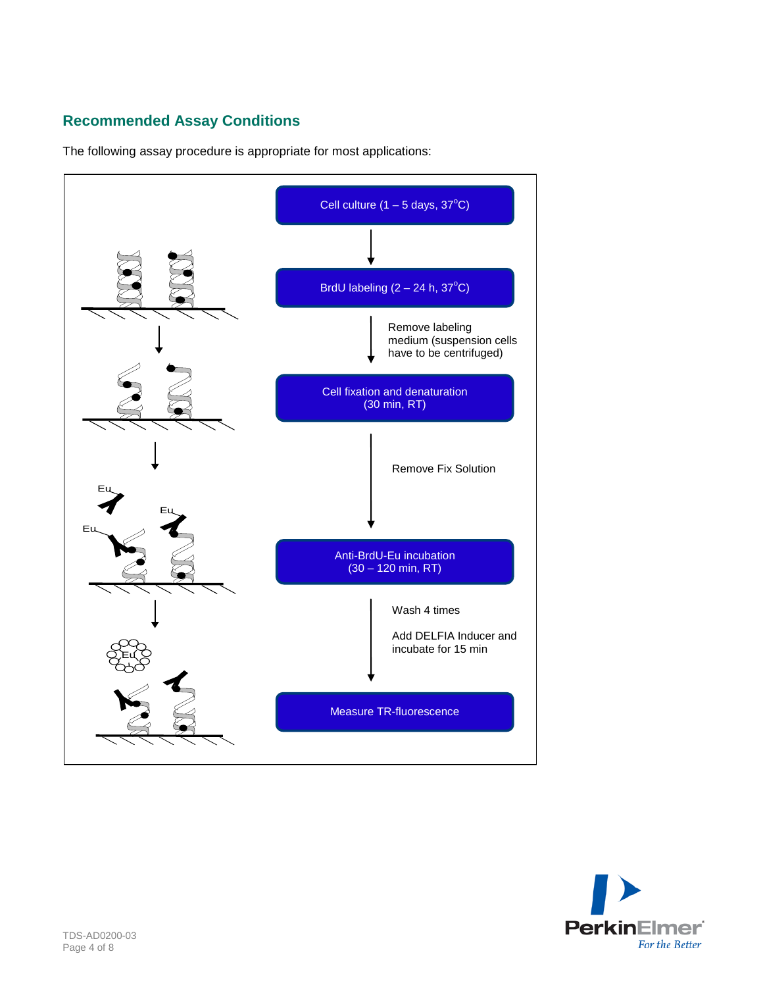# **Recommended Assay Conditions**

The following assay procedure is appropriate for most applications:



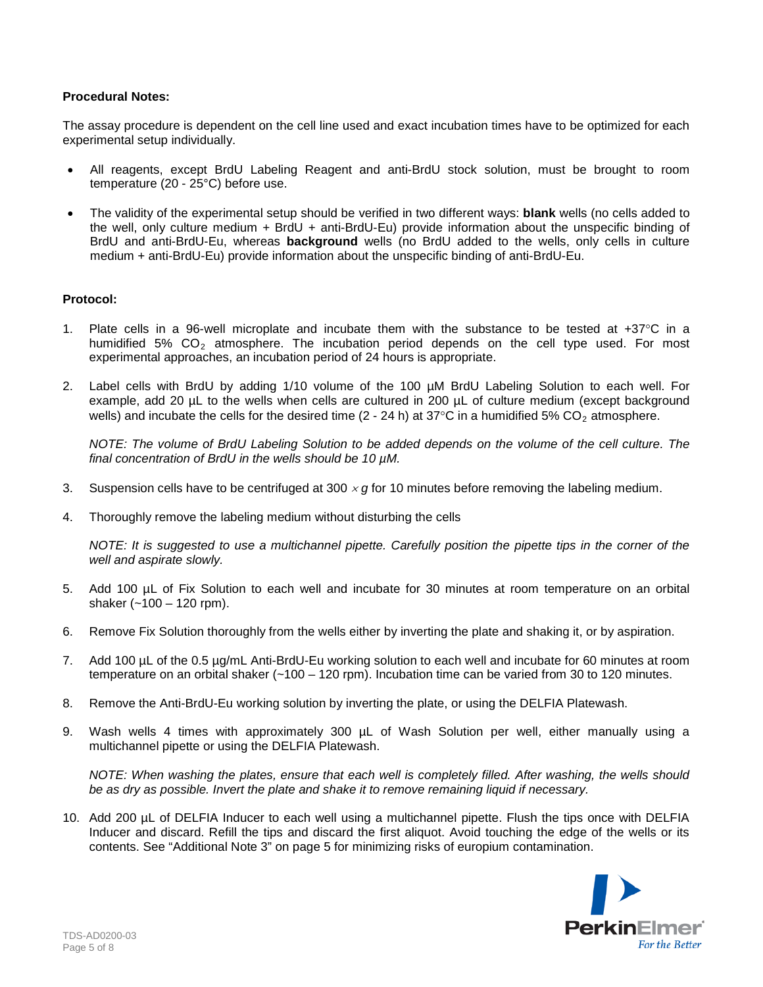#### **Procedural Notes:**

The assay procedure is dependent on the cell line used and exact incubation times have to be optimized for each experimental setup individually.

- All reagents, except BrdU Labeling Reagent and anti-BrdU stock solution, must be brought to room temperature (20 - 25°C) before use.
- The validity of the experimental setup should be verified in two different ways: **blank** wells (no cells added to the well, only culture medium + BrdU + anti-BrdU-Eu) provide information about the unspecific binding of BrdU and anti-BrdU-Eu, whereas **background** wells (no BrdU added to the wells, only cells in culture medium + anti-BrdU-Eu) provide information about the unspecific binding of anti-BrdU-Eu.

#### **Protocol:**

- 1. Plate cells in a 96-well microplate and incubate them with the substance to be tested at  $+37^{\circ}$ C in a humidified 5%  $CO<sub>2</sub>$  atmosphere. The incubation period depends on the cell type used. For most experimental approaches, an incubation period of 24 hours is appropriate.
- 2. Label cells with BrdU by adding 1/10 volume of the 100 µM BrdU Labeling Solution to each well. For example, add 20 µL to the wells when cells are cultured in 200 µL of culture medium (except background wells) and incubate the cells for the desired time  $(2 - 24 h)$  at 37°C in a humidified 5% CO<sub>2</sub> atmosphere.

*NOTE: The volume of BrdU Labeling Solution to be added depends on the volume of the cell culture. The final concentration of BrdU in the wells should be 10 µM.*

- 3. Suspension cells have to be centrifuged at 300 <sup>×</sup> *g* for 10 minutes before removing the labeling medium.
- 4. Thoroughly remove the labeling medium without disturbing the cells

*NOTE: It is suggested to use a multichannel pipette. Carefully position the pipette tips in the corner of the well and aspirate slowly.*

- 5. Add 100 µL of Fix Solution to each well and incubate for 30 minutes at room temperature on an orbital shaker  $(-100 - 120$  rpm).
- 6. Remove Fix Solution thoroughly from the wells either by inverting the plate and shaking it, or by aspiration.
- 7. Add 100 µL of the 0.5 µg/mL Anti-BrdU-Eu working solution to each well and incubate for 60 minutes at room temperature on an orbital shaker (~100 – 120 rpm). Incubation time can be varied from 30 to 120 minutes.
- 8. Remove the Anti-BrdU-Eu working solution by inverting the plate, or using the DELFIA Platewash.
- 9. Wash wells 4 times with approximately 300 µL of Wash Solution per well, either manually using a multichannel pipette or using the DELFIA Platewash.

*NOTE: When washing the plates, ensure that each well is completely filled. After washing, the wells should be as dry as possible. Invert the plate and shake it to remove remaining liquid if necessary.*

10. Add 200 µL of DELFIA Inducer to each well using a multichannel pipette. Flush the tips once with DELFIA Inducer and discard. Refill the tips and discard the first aliquot. Avoid touching the edge of the wells or its contents. See "Additional Note 3" on page 5 for minimizing risks of europium contamination.

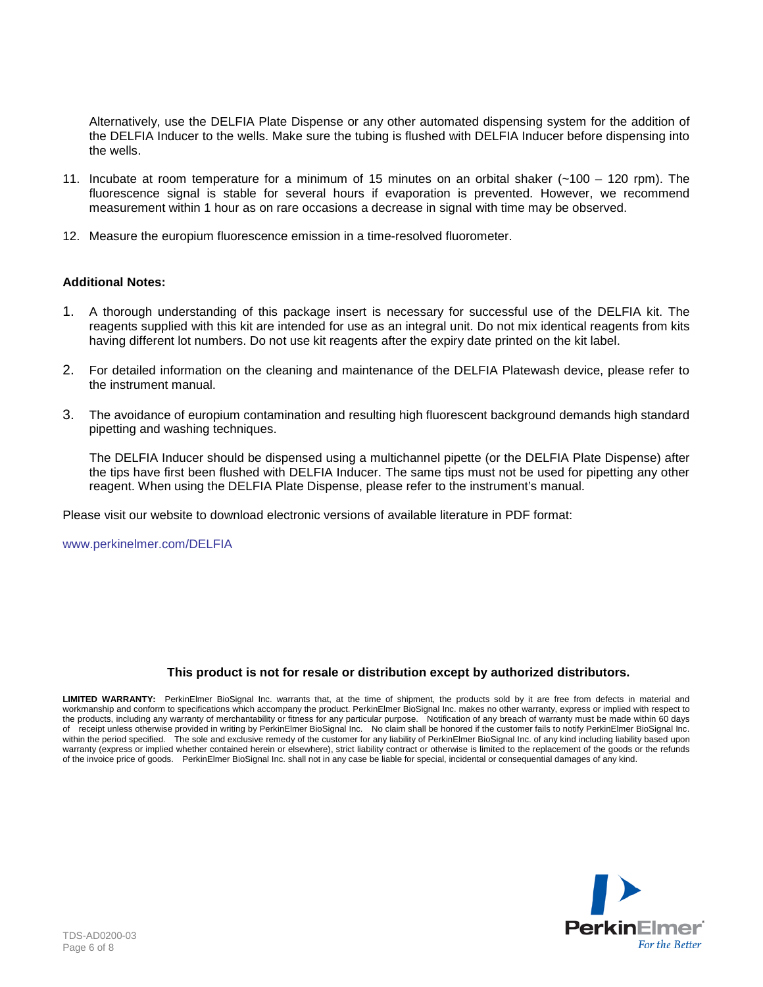Alternatively, use the DELFIA Plate Dispense or any other automated dispensing system for the addition of the DELFIA Inducer to the wells. Make sure the tubing is flushed with DELFIA Inducer before dispensing into the wells.

- 11. Incubate at room temperature for a minimum of 15 minutes on an orbital shaker (~100 120 rpm). The fluorescence signal is stable for several hours if evaporation is prevented. However, we recommend measurement within 1 hour as on rare occasions a decrease in signal with time may be observed.
- 12. Measure the europium fluorescence emission in a time-resolved fluorometer.

#### **Additional Notes:**

- 1. A thorough understanding of this package insert is necessary for successful use of the DELFIA kit. The reagents supplied with this kit are intended for use as an integral unit. Do not mix identical reagents from kits having different lot numbers. Do not use kit reagents after the expiry date printed on the kit label.
- 2. For detailed information on the cleaning and maintenance of the DELFIA Platewash device, please refer to the instrument manual.
- 3. The avoidance of europium contamination and resulting high fluorescent background demands high standard pipetting and washing techniques.

The DELFIA Inducer should be dispensed using a multichannel pipette (or the DELFIA Plate Dispense) after the tips have first been flushed with DELFIA Inducer. The same tips must not be used for pipetting any other reagent. When using the DELFIA Plate Dispense, please refer to the instrument's manual.

Please visit our website to download electronic versions of available literature in PDF format:

[www.perkinelmer.com/DELFIA](http://www.perkinelmer.com/DELFIA)

#### **This product is not for resale or distribution except by authorized distributors.**

**LIMITED WARRANTY:** PerkinElmer BioSignal Inc. warrants that, at the time of shipment, the products sold by it are free from defects in material and workmanship and conform to specifications which accompany the product. PerkinElmer BioSignal Inc. makes no other warranty, express or implied with respect to the products, including any warranty of merchantability or fitness for any particular purpose. Notification of any breach of warranty must be made within 60 days of receipt unless otherwise provided in writing by PerkinElmer BioSignal Inc. No claim shall be honored if the customer fails to notify PerkinElmer BioSignal Inc. within the period specified. The sole and exclusive remedy of the customer for any liability of PerkinElmer BioSignal Inc. of any kind including liability based upon warranty (express or implied whether contained herein or elsewhere), strict liability contract or otherwise is limited to the replacement of the goods or the refunds of the invoice price of goods. PerkinElmer BioSignal Inc. shall not in any case be liable for special, incidental or consequential damages of any kind.

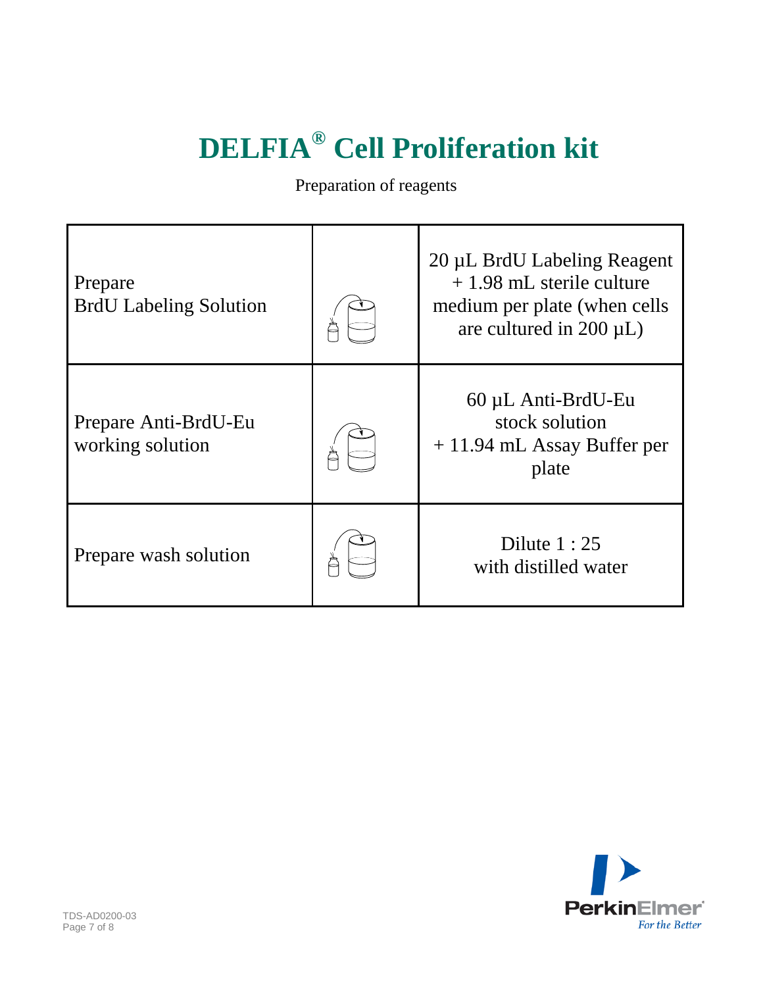# **DELFIA® Cell Proliferation kit**

Preparation of reagents

| Prepare<br><b>BrdU</b> Labeling Solution | 20 µL BrdU Labeling Reagent<br>$+1.98$ mL sterile culture<br>medium per plate (when cells<br>are cultured in $200 \mu L$ ) |
|------------------------------------------|----------------------------------------------------------------------------------------------------------------------------|
| Prepare Anti-BrdU-Eu<br>working solution | 60 µL Anti-BrdU-Eu<br>stock solution<br>$+11.94$ mL Assay Buffer per<br>plate                                              |
| Prepare wash solution                    | Dilute $1:25$<br>with distilled water                                                                                      |